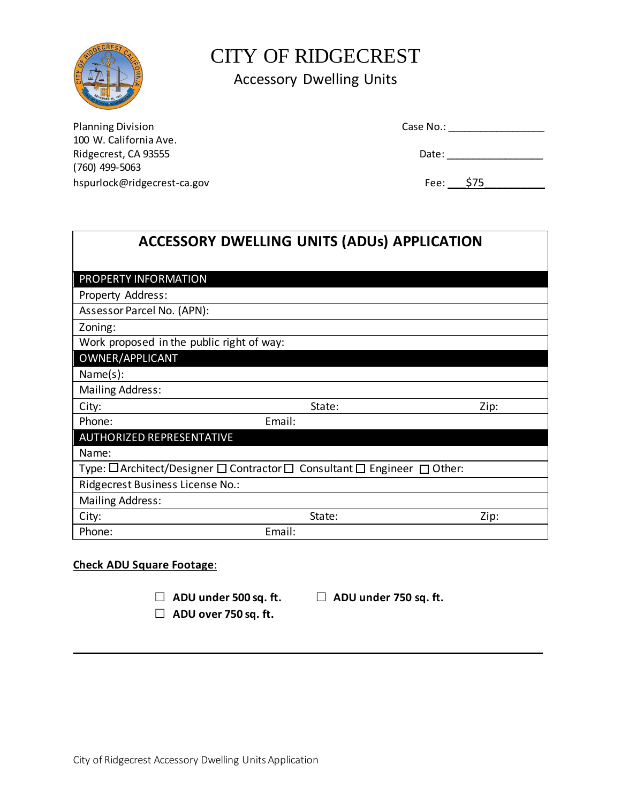

# CITY OF RIDGECREST

## Accessory Dwelling Units

Planning Division 100 W. California Ave. Ridgecrest, CA 93555 **Date:** 2008 **Date:** 2008 **Date:** 2008 **Date:** 2008 **Date:** 2008 **Date:** 2008 **Date:** 2008 **Date:** 2008 **Date:** 2008 **Date:** 2008 **Date:** 2008 **Date:** 2008 **Date:** 2008 **Date:** 2008 **Date:** 2008 **Date:** (760) 499-5063 [hspurlock@ridgecrest-ca.gov](mailto:hspurlock@ridgecrest-ca.gov) example and the set of the Fee: 575

| <b>ACCESSORY DWELLING UNITS (ADUs) APPLICATION</b> |                                                                                                   |      |  |
|----------------------------------------------------|---------------------------------------------------------------------------------------------------|------|--|
| PROPERTY INFORMATION                               |                                                                                                   |      |  |
| Property Address:                                  |                                                                                                   |      |  |
| Assessor Parcel No. (APN):                         |                                                                                                   |      |  |
| Zoning:                                            |                                                                                                   |      |  |
| Work proposed in the public right of way:          |                                                                                                   |      |  |
| OWNER/APPLICANT                                    |                                                                                                   |      |  |
| Name(s):                                           |                                                                                                   |      |  |
| <b>Mailing Address:</b>                            |                                                                                                   |      |  |
| City:                                              | State:                                                                                            | Zip: |  |
| Phone:                                             | Email:                                                                                            |      |  |
| <b>AUTHORIZED REPRESENTATIVE</b>                   |                                                                                                   |      |  |
| Name:                                              |                                                                                                   |      |  |
|                                                    | Type: $\Box$ Architect/Designer $\Box$ Contractor $\Box$ Consultant $\Box$ Engineer $\Box$ Other: |      |  |
| Ridgecrest Business License No.:                   |                                                                                                   |      |  |
| <b>Mailing Address:</b>                            |                                                                                                   |      |  |
| City:                                              | State:                                                                                            | Zip: |  |
| Phone:                                             | Email:                                                                                            |      |  |
|                                                    |                                                                                                   |      |  |

#### **Check ADU Square Footage**:

**ADU under 500 sq. ft. ADU under 750 sq. ft.** 

**ADU over 750 sq. ft.**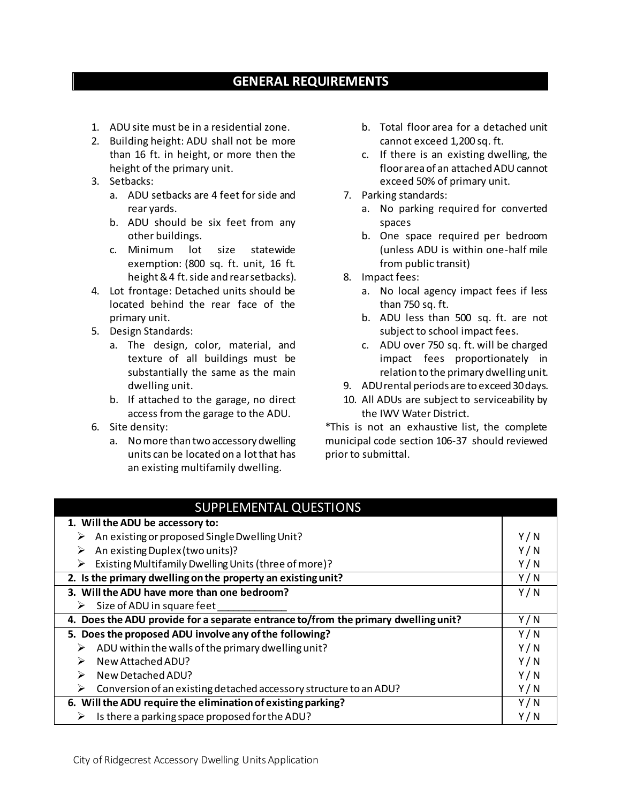#### **GENERAL REQUIREMENTS**

- 1. ADU site must be in a residential zone.
- 2. Building height: ADU shall not be more than 16 ft. in height, or more then the height of the primary unit.
- 3. Setbacks:
	- a. ADU setbacks are 4 feet for side and rear yards.
	- b. ADU should be six feet from any other buildings.
	- c. Minimum lot size statewide exemption: (800 sq. ft. unit, 16 ft. height & 4 ft. side and rear setbacks).
- 4. Lot frontage: Detached units should be located behind the rear face of the primary unit.
- 5. Design Standards:
	- a. The design, color, material, and texture of all buildings must be substantially the same as the main dwelling unit.
	- b. If attached to the garage, no direct access from the garage to the ADU.
- 6. Site density:
	- a. No more than two accessory dwelling units can be located on a lot that has an existing multifamily dwelling.
- b. Total floor area for a detached unit cannot exceed 1,200 sq. ft.
- c. If there is an existing dwelling, the floor area of an attached ADU cannot exceed 50% of primary unit.
- 7. Parking standards:
	- a. No parking required for converted spaces
	- b. One space required per bedroom (unless ADU is within one-half mile from public transit)
- 8. Impact fees:
	- a. No local agency impact fees if less than 750 sq. ft.
	- b. ADU less than 500 sq. ft. are not subject to school impact fees.
	- c. ADU over 750 sq. ft. will be charged impact fees proportionately in relation to the primary dwelling unit.
- 9. ADU rental periods are to exceed 30 days.
- 10. All ADUs are subject to serviceability by the IWV Water District.

\*This is not an exhaustive list, the complete municipal code section 106-37 should reviewed prior to submittal.

| <b>SUPPLEMENTAL QUESTIONS</b>                                                      |     |
|------------------------------------------------------------------------------------|-----|
| 1. Will the ADU be accessory to:                                                   |     |
| $\triangleright$ An existing or proposed Single Dwelling Unit?                     |     |
| An existing Duplex (two units)?<br>➤                                               |     |
| Existing Multifamily Dwelling Units (three of more)?                               |     |
| 2. Is the primary dwelling on the property an existing unit?                       |     |
| 3. Will the ADU have more than one bedroom?                                        | Y/N |
| Size of ADU in square feet<br>➤                                                    |     |
| 4. Does the ADU provide for a separate entrance to/from the primary dwelling unit? |     |
| 5. Does the proposed ADU involve any of the following?                             |     |
| ADU within the walls of the primary dwelling unit?<br>➤                            | Y/N |
| New Attached ADU?<br>⋗                                                             | Y/N |
| New Detached ADU?<br>⋗                                                             | Y/N |
| Conversion of an existing detached accessory structure to an ADU?<br>➤             | Y/N |
| 6. Will the ADU require the elimination of existing parking?                       |     |
| Is there a parking space proposed for the ADU?<br>➤                                | Y/N |